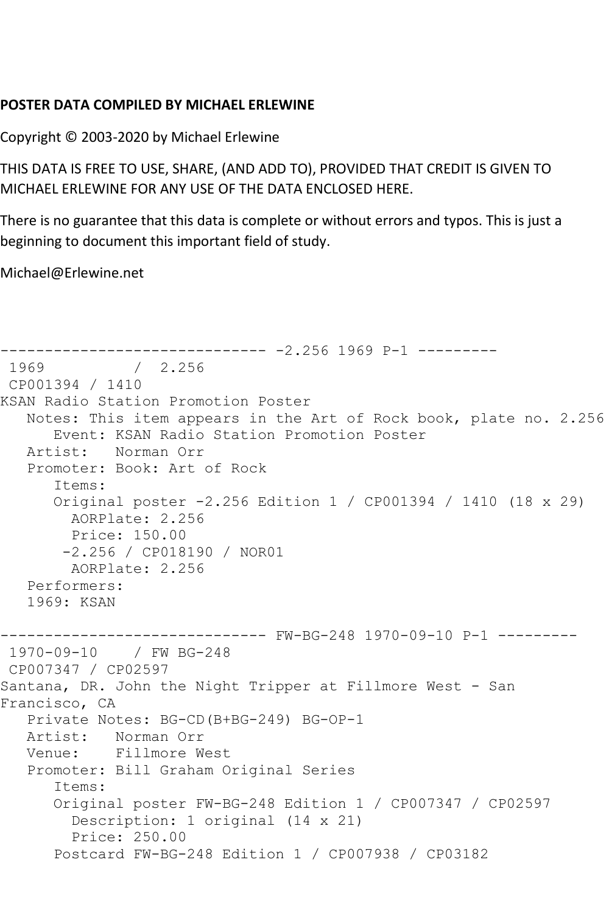## **POSTER DATA COMPILED BY MICHAEL ERLEWINE**

Copyright © 2003-2020 by Michael Erlewine

THIS DATA IS FREE TO USE, SHARE, (AND ADD TO), PROVIDED THAT CREDIT IS GIVEN TO MICHAEL ERLEWINE FOR ANY USE OF THE DATA ENCLOSED HERE.

There is no guarantee that this data is complete or without errors and typos. This is just a beginning to document this important field of study.

Michael@Erlewine.net

```
------------------------------ -2.256 1969 P-1 ---------
              / 2.256CP001394 / 1410
KSAN Radio Station Promotion Poster
   Notes: This item appears in the Art of Rock book, plate no. 2.256
       Event: KSAN Radio Station Promotion Poster
   Artist: Norman Orr
    Promoter: Book: Art of Rock
       Items:
       Original poster -2.256 Edition 1 / CP001394 / 1410 (18 x 29)
        AORPlate: 2.256 
        Price: 150.00
        -2.256 / CP018190 / NOR01
         AORPlate: 2.256 
    Performers:
    1969: KSAN
------------------------------ FW-BG-248 1970-09-10 P-1 ---------
1970-09-10 / FW BG-248
CP007347 / CP02597
Santana, DR. John the Night Tripper at Fillmore West - San 
Francisco, CA
  Private Notes: BG-CD (B+BG-249) BG-OP-1<br>Artist: Norman Orr
           Norman Orr
   Venue: Fillmore West
    Promoter: Bill Graham Original Series
       Items:
       Original poster FW-BG-248 Edition 1 / CP007347 / CP02597
         Description: 1 original (14 x 21)
         Price: 250.00
       Postcard FW-BG-248 Edition 1 / CP007938 / CP03182
```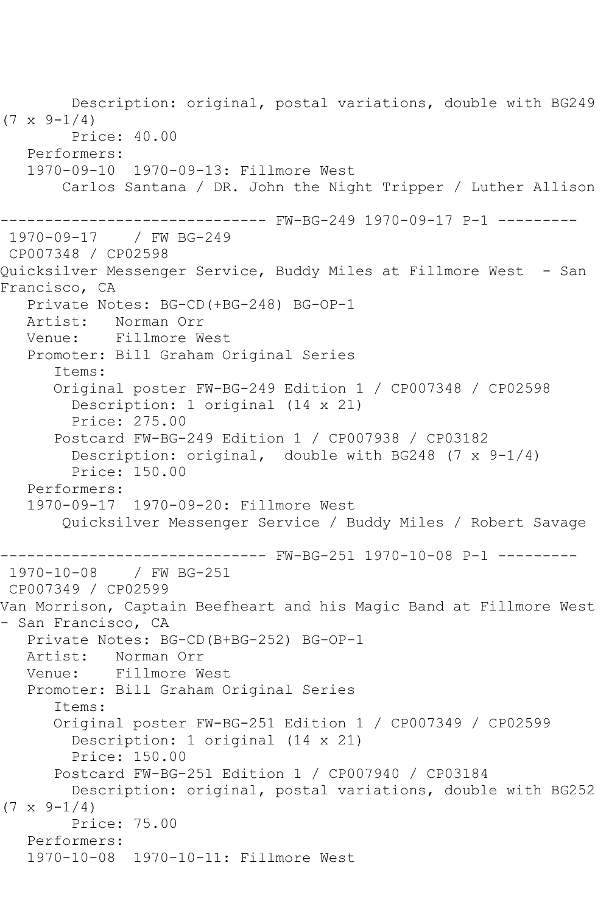Description: original, postal variations, double with BG249  $(7 \times 9 - 1/4)$  Price: 40.00 Performers: 1970-09-10 1970-09-13: Fillmore West Carlos Santana / DR. John the Night Tripper / Luther Allison ------------------------------ FW-BG-249 1970-09-17 P-1 --------- 1970-09-17 / FW BG-249 CP007348 / CP02598 Quicksilver Messenger Service, Buddy Miles at Fillmore West - San Francisco, CA Private Notes: BG-CD(+BG-248) BG-OP-1<br>Artist: Norman Orr Norman Orr Venue: Fillmore West Promoter: Bill Graham Original Series Items: Original poster FW-BG-249 Edition 1 / CP007348 / CP02598 Description: 1 original (14 x 21) Price: 275.00 Postcard FW-BG-249 Edition 1 / CP007938 / CP03182 Description: original, double with BG248 (7 x 9-1/4) Price: 150.00 Performers: 1970-09-17 1970-09-20: Fillmore West Quicksilver Messenger Service / Buddy Miles / Robert Savage ------------------------------ FW-BG-251 1970-10-08 P-1 --------- 1970-10-08 / FW BG-251 CP007349 / CP02599 Van Morrison, Captain Beefheart and his Magic Band at Fillmore West - San Francisco, CA Private Notes: BG-CD(B+BG-252) BG-OP-1 Artist: Norman Orr Venue: Fillmore West Promoter: Bill Graham Original Series Items: Original poster FW-BG-251 Edition 1 / CP007349 / CP02599 Description: 1 original (14 x 21) Price: 150.00 Postcard FW-BG-251 Edition 1 / CP007940 / CP03184 Description: original, postal variations, double with BG252  $(7 \times 9-1/4)$  Price: 75.00 Performers: 1970-10-08 1970-10-11: Fillmore West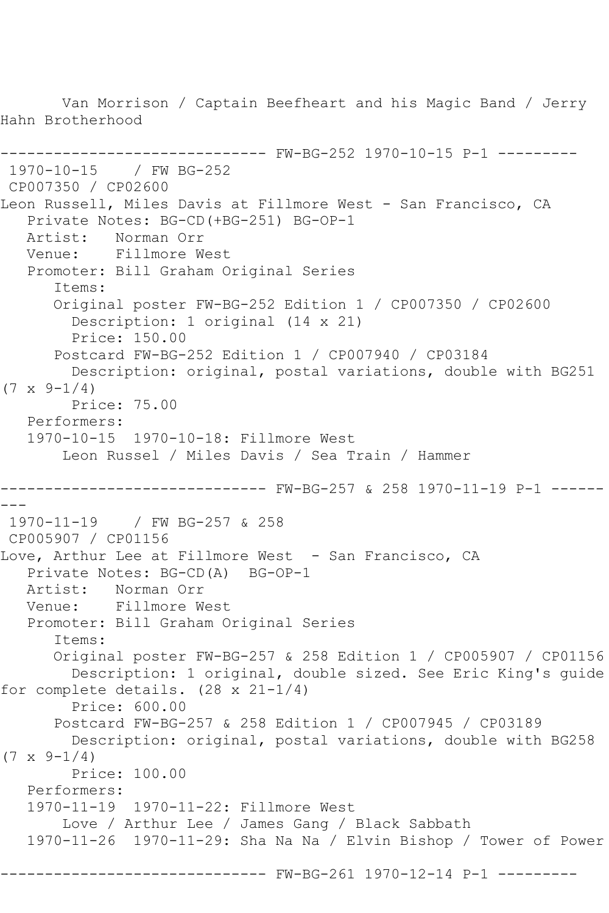Van Morrison / Captain Beefheart and his Magic Band / Jerry Hahn Brotherhood ------------------------------ FW-BG-252 1970-10-15 P-1 --------- 1970-10-15 / FW BG-252 CP007350 / CP02600 Leon Russell, Miles Davis at Fillmore West - San Francisco, CA Private Notes: BG-CD(+BG-251) BG-OP-1<br>Artist: Norman Orr Norman Orr Venue: Fillmore West Promoter: Bill Graham Original Series Items: Original poster FW-BG-252 Edition 1 / CP007350 / CP02600 Description: 1 original (14 x 21) Price: 150.00 Postcard FW-BG-252 Edition 1 / CP007940 / CP03184 Description: original, postal variations, double with BG251  $(7 \times 9 - 1/4)$  Price: 75.00 Performers: 1970-10-15 1970-10-18: Fillmore West Leon Russel / Miles Davis / Sea Train / Hammer ------------------------------ FW-BG-257 & 258 1970-11-19 P-1 ------ --- 1970-11-19 / FW BG-257 & 258 CP005907 / CP01156 Love, Arthur Lee at Fillmore West - San Francisco, CA Private Notes: BG-CD(A) BG-OP-1<br>Artist: Norman Orr Norman Orr Venue: Fillmore West Promoter: Bill Graham Original Series Items: Original poster FW-BG-257 & 258 Edition 1 / CP005907 / CP01156 Description: 1 original, double sized. See Eric King's guide for complete details. (28 x 21-1/4) Price: 600.00 Postcard FW-BG-257 & 258 Edition 1 / CP007945 / CP03189 Description: original, postal variations, double with BG258  $(7 \times 9 - 1/4)$  Price: 100.00 Performers: 1970-11-19 1970-11-22: Fillmore West Love / Arthur Lee / James Gang / Black Sabbath 1970-11-26 1970-11-29: Sha Na Na / Elvin Bishop / Tower of Power --------- FW-BG-261 1970-12-14 P-1 ---------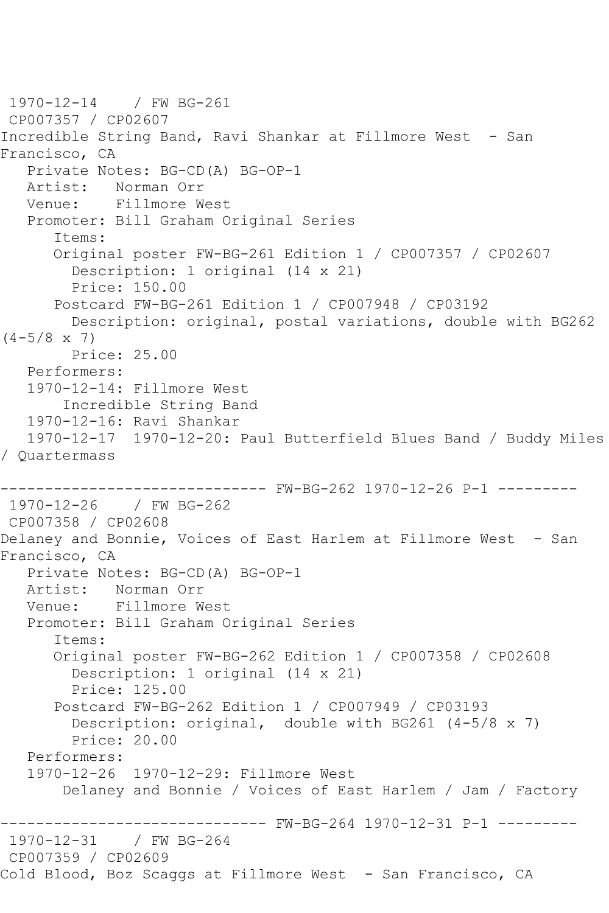1970-12-14 / FW BG-261 CP007357 / CP02607 Incredible String Band, Ravi Shankar at Fillmore West - San Francisco, CA Private Notes: BG-CD(A) BG-OP-1 Artist: Norman Orr Venue: Fillmore West Promoter: Bill Graham Original Series Items: Original poster FW-BG-261 Edition 1 / CP007357 / CP02607 Description: 1 original (14 x 21) Price: 150.00 Postcard FW-BG-261 Edition 1 / CP007948 / CP03192 Description: original, postal variations, double with BG262  $(4-5/8 \times 7)$  Price: 25.00 Performers: 1970-12-14: Fillmore West Incredible String Band 1970-12-16: Ravi Shankar 1970-12-17 1970-12-20: Paul Butterfield Blues Band / Buddy Miles / Quartermass ------------------------------ FW-BG-262 1970-12-26 P-1 --------- 1970-12-26 / FW BG-262 CP007358 / CP02608 Delaney and Bonnie, Voices of East Harlem at Fillmore West - San Francisco, CA Private Notes: BG-CD(A) BG-OP-1<br>Artist: Norman Orr Norman Orr Venue: Fillmore West Promoter: Bill Graham Original Series Items: Original poster FW-BG-262 Edition 1 / CP007358 / CP02608 Description: 1 original (14 x 21) Price: 125.00 Postcard FW-BG-262 Edition 1 / CP007949 / CP03193 Description: original, double with BG261 (4-5/8 x 7) Price: 20.00 Performers: 1970-12-26 1970-12-29: Fillmore West Delaney and Bonnie / Voices of East Harlem / Jam / Factory ------------------------------ FW-BG-264 1970-12-31 P-1 --------- 1970-12-31 / FW BG-264 CP007359 / CP02609 Cold Blood, Boz Scaggs at Fillmore West - San Francisco, CA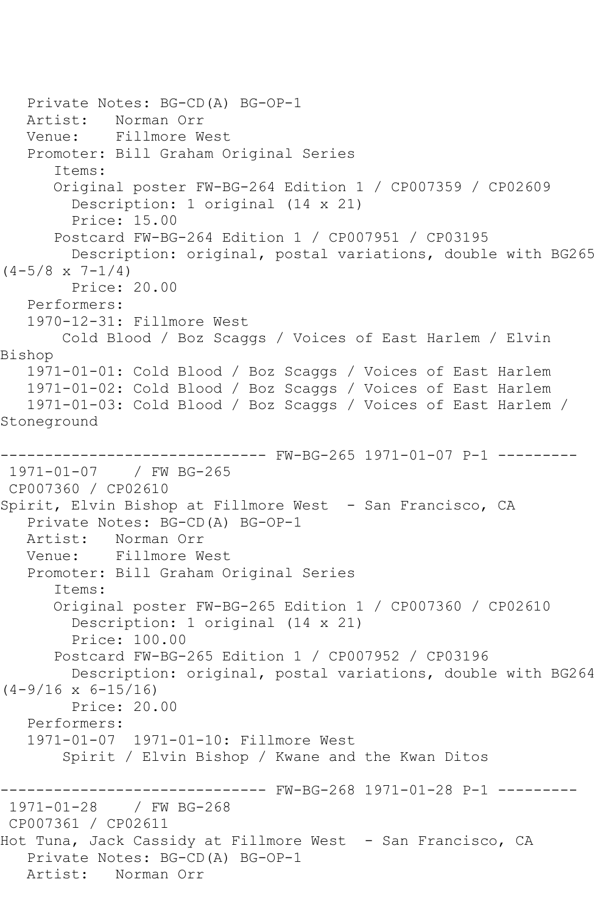Private Notes: BG-CD(A) BG-OP-1 Artist: Norman Orr Venue: Fillmore West Promoter: Bill Graham Original Series Items: Original poster FW-BG-264 Edition 1 / CP007359 / CP02609 Description: 1 original (14 x 21) Price: 15.00 Postcard FW-BG-264 Edition 1 / CP007951 / CP03195 Description: original, postal variations, double with BG265  $(4-5/8 \times 7-1/4)$  Price: 20.00 Performers: 1970-12-31: Fillmore West Cold Blood / Boz Scaggs / Voices of East Harlem / Elvin Bishop 1971-01-01: Cold Blood / Boz Scaggs / Voices of East Harlem 1971-01-02: Cold Blood / Boz Scaggs / Voices of East Harlem 1971-01-03: Cold Blood / Boz Scaggs / Voices of East Harlem / Stoneground ----- FW-BG-265 1971-01-07 P-1 ---------1971-01-07 / FW BG-265 CP007360 / CP02610 Spirit, Elvin Bishop at Fillmore West - San Francisco, CA Private Notes: BG-CD(A) BG-OP-1 Artist: Norman Orr Venue: Fillmore West Promoter: Bill Graham Original Series Items: Original poster FW-BG-265 Edition 1 / CP007360 / CP02610 Description: 1 original (14 x 21) Price: 100.00 Postcard FW-BG-265 Edition 1 / CP007952 / CP03196 Description: original, postal variations, double with BG264  $(4-9/16 \times 6-15/16)$  Price: 20.00 Performers: 1971-01-07 1971-01-10: Fillmore West Spirit / Elvin Bishop / Kwane and the Kwan Ditos ------------------------------ FW-BG-268 1971-01-28 P-1 --------- 1971-01-28 / FW BG-268 CP007361 / CP02611 Hot Tuna, Jack Cassidy at Fillmore West - San Francisco, CA Private Notes: BG-CD(A) BG-OP-1 Artist: Norman Orr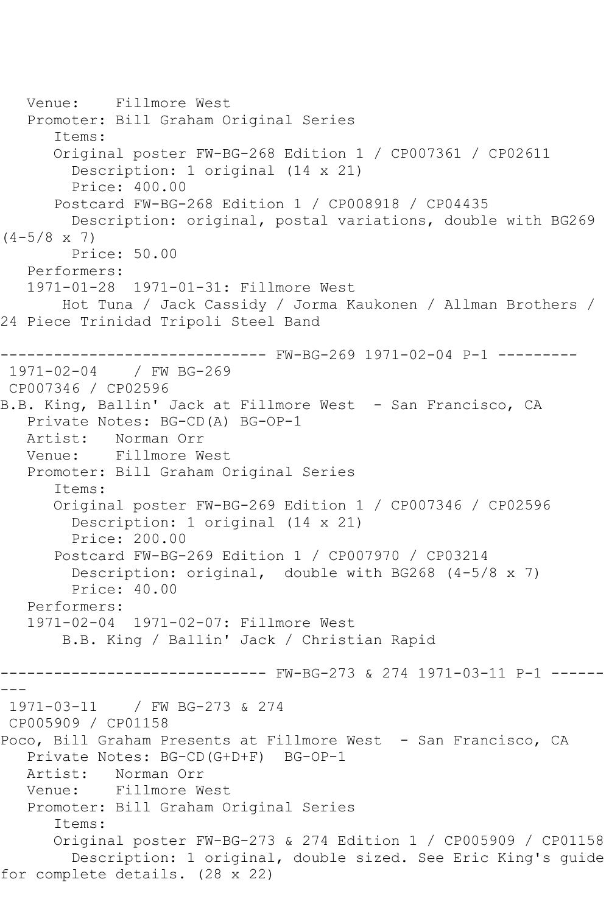```
 Venue: Fillmore West
    Promoter: Bill Graham Original Series
       Items:
       Original poster FW-BG-268 Edition 1 / CP007361 / CP02611
         Description: 1 original (14 x 21)
         Price: 400.00
       Postcard FW-BG-268 Edition 1 / CP008918 / CP04435
         Description: original, postal variations, double with BG269 
(4-5/8 \times 7) Price: 50.00
    Performers:
    1971-01-28 1971-01-31: Fillmore West
        Hot Tuna / Jack Cassidy / Jorma Kaukonen / Allman Brothers / 
24 Piece Trinidad Tripoli Steel Band
         ------------------------------ FW-BG-269 1971-02-04 P-1 ---------
1971-02-04 / FW BG-269
CP007346 / CP02596
B.B. King, Ballin' Jack at Fillmore West - San Francisco, CA
    Private Notes: BG-CD(A) BG-OP-1
   Artist: Norman Orr
   Venue: Fillmore West
    Promoter: Bill Graham Original Series
       Items:
       Original poster FW-BG-269 Edition 1 / CP007346 / CP02596
         Description: 1 original (14 x 21)
         Price: 200.00
       Postcard FW-BG-269 Edition 1 / CP007970 / CP03214
         Description: original, double with BG268 (4-5/8 x 7)
         Price: 40.00
    Performers:
    1971-02-04 1971-02-07: Fillmore West
        B.B. King / Ballin' Jack / Christian Rapid
                ------------------------------ FW-BG-273 & 274 1971-03-11 P-1 ------
---
1971-03-11 / FW BG-273 & 274
CP005909 / CP01158
Poco, Bill Graham Presents at Fillmore West - San Francisco, CA
  Private Notes: BG-CD(G+D+F) BG-OP-1<br>Artist: Norman Orr
             Artist: Norman Orr
   Venue: Fillmore West
   Promoter: Bill Graham Original Series
       Items:
       Original poster FW-BG-273 & 274 Edition 1 / CP005909 / CP01158
         Description: 1 original, double sized. See Eric King's guide 
for complete details. (28 x 22)
```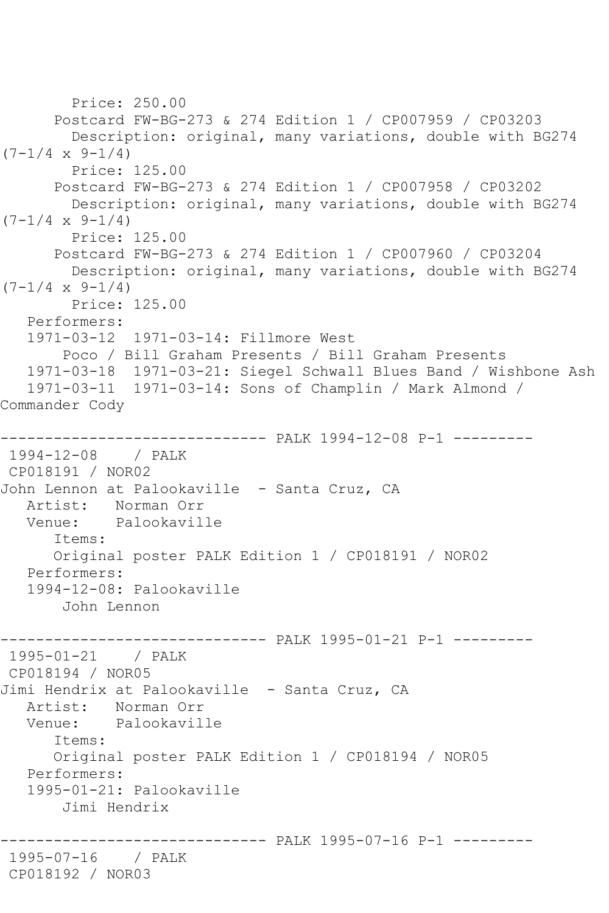```
 Price: 250.00
       Postcard FW-BG-273 & 274 Edition 1 / CP007959 / CP03203
         Description: original, many variations, double with BG274 
(7-1/4 \times 9-1/4) Price: 125.00
       Postcard FW-BG-273 & 274 Edition 1 / CP007958 / CP03202
         Description: original, many variations, double with BG274 
(7-1/4 \times 9-1/4) Price: 125.00
       Postcard FW-BG-273 & 274 Edition 1 / CP007960 / CP03204
         Description: original, many variations, double with BG274 
(7-1/4 \times 9-1/4) Price: 125.00
    Performers:
    1971-03-12 1971-03-14: Fillmore West
        Poco / Bill Graham Presents / Bill Graham Presents
    1971-03-18 1971-03-21: Siegel Schwall Blues Band / Wishbone Ash
    1971-03-11 1971-03-14: Sons of Champlin / Mark Almond / 
Commander Cody
------------------------------ PALK 1994-12-08 P-1 ---------
1994-12-08 / PALK 
CP018191 / NOR02
John Lennon at Palookaville - Santa Cruz, CA
  Artist: Norman Orr<br>Venue: Palookavil
            Palookaville
       Items:
       Original poster PALK Edition 1 / CP018191 / NOR02
   Performers:
    1994-12-08: Palookaville
        John Lennon
------------------------------ PALK 1995-01-21 P-1 ---------
1995-01-21 / PALK 
CP018194 / NOR05
Jimi Hendrix at Palookaville - Santa Cruz, CA
   Artist: Norman Orr
   Venue: Palookaville
       Items:
       Original poster PALK Edition 1 / CP018194 / NOR05
    Performers:
    1995-01-21: Palookaville
        Jimi Hendrix
                   ------------------------------ PALK 1995-07-16 P-1 ---------
1995-07-16 / PALK 
CP018192 / NOR03
```